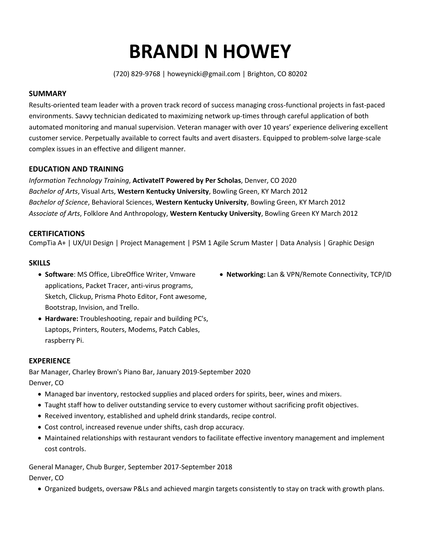# **BRANDI N HOWEY**

(720) 829-9768 | howeynicki@gmail.com | Brighton, CO 80202

## **SUMMARY**

Results-oriented team leader with a proven track record of success managing cross-functional projects in fast-paced environments. Savvy technician dedicated to maximizing network up-times through careful application of both automated monitoring and manual supervision. Veteran manager with over 10 years' experience delivering excellent customer service. Perpetually available to correct faults and avert disasters. Equipped to problem-solve large-scale complex issues in an effective and diligent manner.

## **EDUCATION AND TRAINING**

*Information Technology Training*, **ActivateIT Powered by Per Scholas**, Denver, CO 2020 *Bachelor of Arts*, Visual Arts, **Western Kentucky University**, Bowling Green, KY March 2012 *Bachelor of Science*, Behavioral Sciences, **Western Kentucky University**, Bowling Green, KY March 2012 *Associate of Arts*, Folklore And Anthropology, **Western Kentucky University**, Bowling Green KY March 2012

## **CERTIFICATIONS**

CompTia A+ | UX/UI Design | Project Management | PSM 1 Agile Scrum Master | Data Analysis | Graphic Design

### **SKILLS**

- **Software**: MS Office, LibreOffice Writer, Vmware applications, Packet Tracer, anti-virus programs, Sketch, Clickup, Prisma Photo Editor, Font awesome, Bootstrap, Invision, and Trello.
- **Hardware:** Troubleshooting, repair and building PC's, Laptops, Printers, Routers, Modems, Patch Cables, raspberry Pi.

### **EXPERIENCE**

Bar Manager, Charley Brown's Piano Bar, January 2019-September 2020 Denver, CO

- Managed bar inventory, restocked supplies and placed orders for spirits, beer, wines and mixers.
- Taught staff how to deliver outstanding service to every customer without sacrificing profit objectives.
- Received inventory, established and upheld drink standards, recipe control.
- Cost control, increased revenue under shifts, cash drop accuracy.
- Maintained relationships with restaurant vendors to facilitate effective inventory management and implement cost controls.

General Manager, Chub Burger, September 2017-September 2018 Denver, CO

• Organized budgets, oversaw P&Ls and achieved margin targets consistently to stay on track with growth plans.

• **Networking:** Lan & VPN/Remote Connectivity, TCP/ID